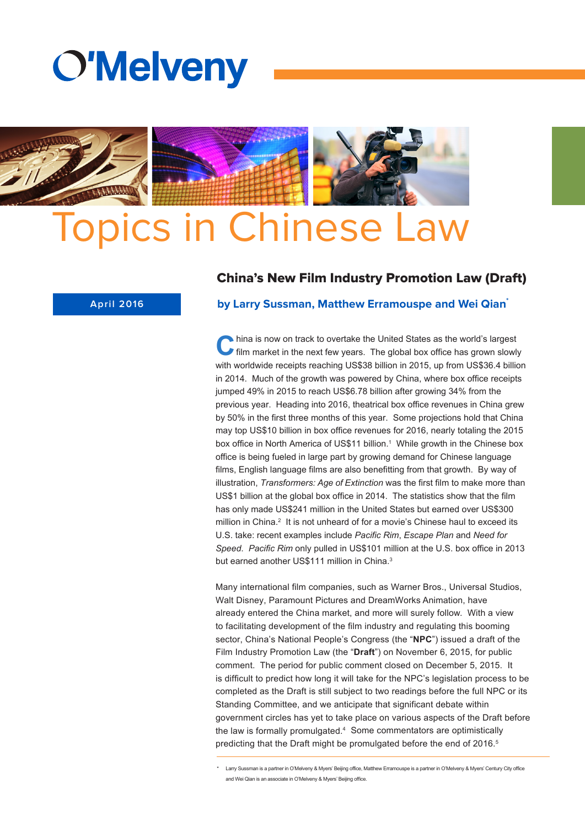



## China's New Film Industry Promotion Law (Draft)



#### **by Larry Sussman, Matthew Erramouspe and Wei Qian\***

**C**hina is now on track to overtake the United States as the world's largest<br>film market in the next few years. The global box office has grown slowly with worldwide receipts reaching US\$38 billion in 2015, up from US\$36.4 billion in 2014. Much of the growth was powered by China, where box office receipts jumped 49% in 2015 to reach US\$6.78 billion after growing 34% from the previous year. Heading into 2016, theatrical box office revenues in China grew by 50% in the first three months of this year. Some projections hold that China may top US\$10 billion in box office revenues for 2016, nearly totaling the 2015 box office in North America of US\$11 billion. <sup>1</sup> While growth in the Chinese box office is being fueled in large part by growing demand for Chinese language films, English language films are also benefitting from that growth. By way of illustration, *Transformers: Age of Extinction* was the first film to make more than US\$1 billion at the global box office in 2014. The statistics show that the film has only made US\$241 million in the United States but earned over US\$300 million in China.<sup>2</sup> It is not unheard of for a movie's Chinese haul to exceed its U.S. take: recent examples include *Pacific Rim*, *Escape Plan* and *Need for Speed*. *Pacific Rim* only pulled in US\$101 million at the U.S. box office in 2013 but earned another US\$111 million in China.<sup>3</sup>

Many international film companies, such as Warner Bros., Universal Studios, Walt Disney, Paramount Pictures and DreamWorks Animation, have already entered the China market, and more will surely follow. With a view to facilitating development of the film industry and regulating this booming sector, China's National People's Congress (the "**NPC**") issued a draft of the Film Industry Promotion Law (the "**Draft**") on November 6, 2015, for public comment. The period for public comment closed on December 5, 2015. It is difficult to predict how long it will take for the NPC's legislation process to be completed as the Draft is still subject to two readings before the full NPC or its Standing Committee, and we anticipate that significant debate within government circles has yet to take place on various aspects of the Draft before the law is formally promulgated.<sup>4</sup> Some commentators are optimistically predicting that the Draft might be promulgated before the end of 2016.<sup>5</sup>

\* Larry Sussman is a partner in O'Melveny & Myers' Beijing office, Matthew Erramouspe is a partner in O'Melveny & Myers' Century City office and Wei Qian is an associate in O'Melveny & Myers' Beijing office.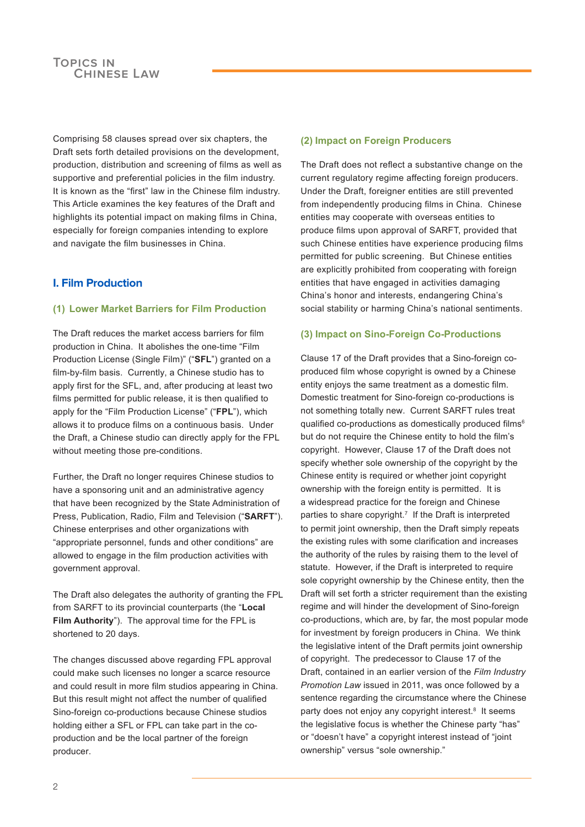Comprising 58 clauses spread over six chapters, the Draft sets forth detailed provisions on the development, production, distribution and screening of films as well as supportive and preferential policies in the film industry. It is known as the "first" law in the Chinese film industry. This Article examines the key features of the Draft and highlights its potential impact on making films in China, especially for foreign companies intending to explore and navigate the film businesses in China.

# **I. Film Production**

#### **(1) Lower Market Barriers for Film Production**

The Draft reduces the market access barriers for film production in China. It abolishes the one-time "Film Production License (Single Film)" ("**SFL**") granted on a film-by-film basis. Currently, a Chinese studio has to apply first for the SFL, and, after producing at least two films permitted for public release, it is then qualified to apply for the "Film Production License" ("**FPL**"), which allows it to produce films on a continuous basis. Under the Draft, a Chinese studio can directly apply for the FPL without meeting those pre-conditions.

Further, the Draft no longer requires Chinese studios to have a sponsoring unit and an administrative agency that have been recognized by the State Administration of Press, Publication, Radio, Film and Television ("**SARFT**"). Chinese enterprises and other organizations with "appropriate personnel, funds and other conditions" are allowed to engage in the film production activities with government approval.

The Draft also delegates the authority of granting the FPL from SARFT to its provincial counterparts (the "**Local Film Authority**"). The approval time for the FPL is shortened to 20 days.

The changes discussed above regarding FPL approval could make such licenses no longer a scarce resource and could result in more film studios appearing in China. But this result might not affect the number of qualified Sino-foreign co-productions because Chinese studios holding either a SFL or FPL can take part in the coproduction and be the local partner of the foreign producer.

## **(2) Impact on Foreign Producers**

The Draft does not reflect a substantive change on the current regulatory regime affecting foreign producers. Under the Draft, foreigner entities are still prevented from independently producing films in China. Chinese entities may cooperate with overseas entities to produce films upon approval of SARFT, provided that such Chinese entities have experience producing films permitted for public screening. But Chinese entities are explicitly prohibited from cooperating with foreign entities that have engaged in activities damaging China's honor and interests, endangering China's social stability or harming China's national sentiments.

#### **(3) Impact on Sino-Foreign Co-Productions**

Clause 17 of the Draft provides that a Sino-foreign coproduced film whose copyright is owned by a Chinese entity enjoys the same treatment as a domestic film. Domestic treatment for Sino-foreign co-productions is not something totally new. Current SARFT rules treat qualified co-productions as domestically produced films<sup>6</sup> but do not require the Chinese entity to hold the film's copyright. However, Clause 17 of the Draft does not specify whether sole ownership of the copyright by the Chinese entity is required or whether joint copyright ownership with the foreign entity is permitted. It is a widespread practice for the foreign and Chinese parties to share copyright.<sup>7</sup> If the Draft is interpreted to permit joint ownership, then the Draft simply repeats the existing rules with some clarification and increases the authority of the rules by raising them to the level of statute. However, if the Draft is interpreted to require sole copyright ownership by the Chinese entity, then the Draft will set forth a stricter requirement than the existing regime and will hinder the development of Sino-foreign co-productions, which are, by far, the most popular mode for investment by foreign producers in China. We think the legislative intent of the Draft permits joint ownership of copyright. The predecessor to Clause 17 of the Draft, contained in an earlier version of the *Film Industry Promotion Law* issued in 2011, was once followed by a sentence regarding the circumstance where the Chinese party does not enjoy any copyright interest.<sup>8</sup> It seems the legislative focus is whether the Chinese party "has" or "doesn't have" a copyright interest instead of "joint ownership" versus "sole ownership."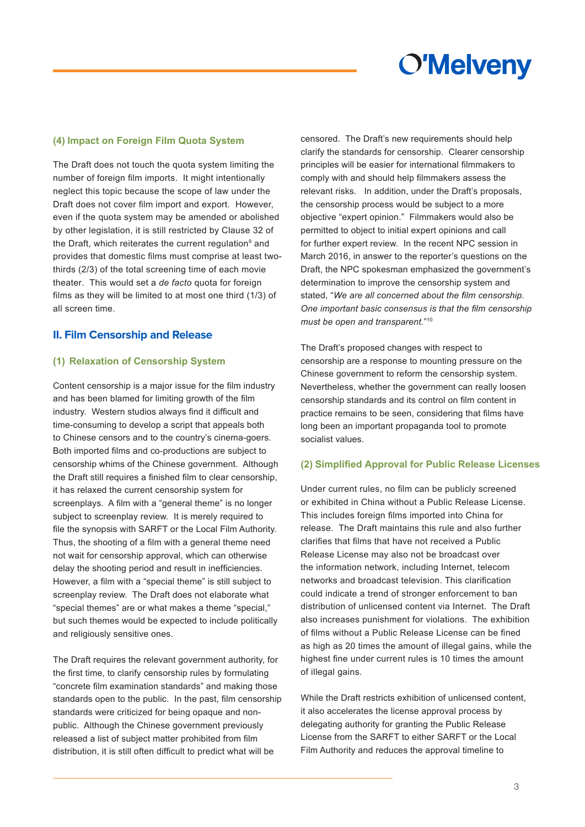

#### **(4) Impact on Foreign Film Quota System**

The Draft does not touch the quota system limiting the number of foreign film imports. It might intentionally neglect this topic because the scope of law under the Draft does not cover film import and export. However, even if the quota system may be amended or abolished by other legislation, it is still restricted by Clause 32 of the Draft, which reiterates the current regulation<sup>9</sup> and provides that domestic films must comprise at least twothirds (2/3) of the total screening time of each movie theater. This would set a *de facto* quota for foreign films as they will be limited to at most one third (1/3) of all screen time.

#### **II. Film Censorship and Release**

#### **(1) Relaxation of Censorship System**

Content censorship is a major issue for the film industry and has been blamed for limiting growth of the film industry. Western studios always find it difficult and time-consuming to develop a script that appeals both to Chinese censors and to the country's cinema-goers. Both imported films and co-productions are subject to censorship whims of the Chinese government. Although the Draft still requires a finished film to clear censorship, it has relaxed the current censorship system for screenplays. A film with a "general theme" is no longer subject to screenplay review. It is merely required to file the synopsis with SARFT or the Local Film Authority. Thus, the shooting of a film with a general theme need not wait for censorship approval, which can otherwise delay the shooting period and result in inefficiencies. However, a film with a "special theme" is still subject to screenplay review. The Draft does not elaborate what "special themes" are or what makes a theme "special," but such themes would be expected to include politically and religiously sensitive ones.

The Draft requires the relevant government authority, for the first time, to clarify censorship rules by formulating "concrete film examination standards" and making those standards open to the public. In the past, film censorship standards were criticized for being opaque and nonpublic. Although the Chinese government previously released a list of subject matter prohibited from film distribution, it is still often difficult to predict what will be

censored. The Draft's new requirements should help clarify the standards for censorship. Clearer censorship principles will be easier for international filmmakers to comply with and should help filmmakers assess the relevant risks. In addition, under the Draft's proposals, the censorship process would be subject to a more objective "expert opinion." Filmmakers would also be permitted to object to initial expert opinions and call for further expert review. In the recent NPC session in March 2016, in answer to the reporter's questions on the Draft, the NPC spokesman emphasized the government's determination to improve the censorship system and stated, "*We are all concerned about the film censorship. One important basic consensus is that the film censorship must be open and transparent.*" 10

The Draft's proposed changes with respect to censorship are a response to mounting pressure on the Chinese government to reform the censorship system. Nevertheless, whether the government can really loosen censorship standards and its control on film content in practice remains to be seen, considering that films have long been an important propaganda tool to promote socialist values.

#### **(2) Simplified Approval for Public Release Licenses**

Under current rules, no film can be publicly screened or exhibited in China without a Public Release License. This includes foreign films imported into China for release. The Draft maintains this rule and also further clarifies that films that have not received a Public Release License may also not be broadcast over the information network, including Internet, telecom networks and broadcast television. This clarification could indicate a trend of stronger enforcement to ban distribution of unlicensed content via Internet. The Draft also increases punishment for violations. The exhibition of films without a Public Release License can be fined as high as 20 times the amount of illegal gains, while the highest fine under current rules is 10 times the amount of illegal gains.

While the Draft restricts exhibition of unlicensed content, it also accelerates the license approval process by delegating authority for granting the Public Release License from the SARFT to either SARFT or the Local Film Authority and reduces the approval timeline to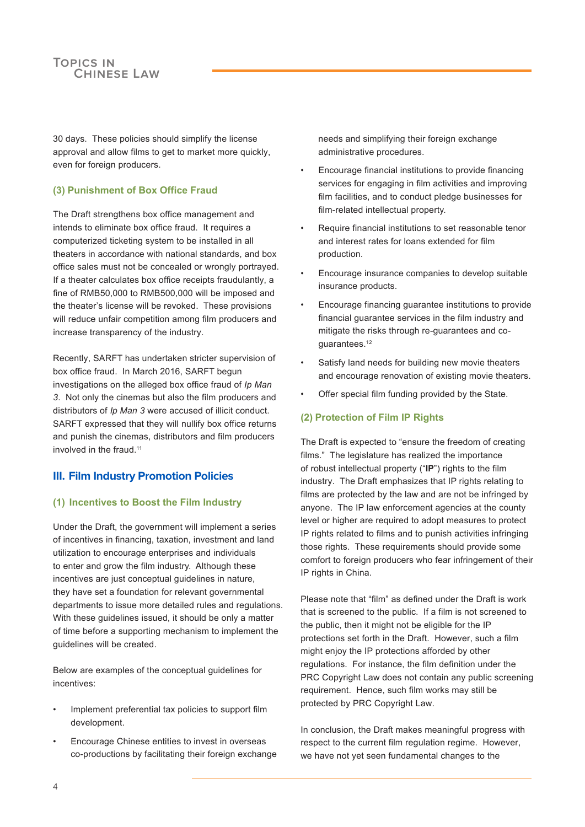30 days. These policies should simplify the license approval and allow films to get to market more quickly, even for foreign producers.

## **(3) Punishment of Box Office Fraud**

The Draft strengthens box office management and intends to eliminate box office fraud. It requires a computerized ticketing system to be installed in all theaters in accordance with national standards, and box office sales must not be concealed or wrongly portrayed. If a theater calculates box office receipts fraudulantly, a fine of RMB50,000 to RMB500,000 will be imposed and the theater's license will be revoked. These provisions will reduce unfair competition among film producers and increase transparency of the industry.

Recently, SARFT has undertaken stricter supervision of box office fraud. In March 2016, SARFT begun investigations on the alleged box office fraud of *Ip Man 3*. Not only the cinemas but also the film producers and distributors of *Ip Man 3* were accused of illicit conduct. SARFT expressed that they will nullify box office returns and punish the cinemas, distributors and film producers involved in the fraud.<sup>11</sup>

# **III. Film Industry Promotion Policies**

#### **(1) Incentives to Boost the Film Industry**

Under the Draft, the government will implement a series of incentives in financing, taxation, investment and land utilization to encourage enterprises and individuals to enter and grow the film industry. Although these incentives are just conceptual quidelines in nature. they have set a foundation for relevant governmental departments to issue more detailed rules and regulations. With these guidelines issued, it should be only a matter of time before a supporting mechanism to implement the guidelines will be created.

Below are examples of the conceptual guidelines for incentives:

- Implement preferential tax policies to support film development.
- Encourage Chinese entities to invest in overseas co-productions by facilitating their foreign exchange

needs and simplifying their foreign exchange administrative procedures.

- Encourage financial institutions to provide financing services for engaging in film activities and improving film facilities, and to conduct pledge businesses for film-related intellectual property.
- Require financial institutions to set reasonable tenor and interest rates for loans extended for film production.
- Encourage insurance companies to develop suitable insurance products.
- Encourage financing guarantee institutions to provide financial guarantee services in the film industry and mitigate the risks through re-guarantees and coguarantees. 12
- Satisfy land needs for building new movie theaters and encourage renovation of existing movie theaters.
- Offer special film funding provided by the State.

#### **(2) Protection of Film IP Rights**

The Draft is expected to "ensure the freedom of creating films." The legislature has realized the importance of robust intellectual property ("**IP**") rights to the film industry. The Draft emphasizes that IP rights relating to films are protected by the law and are not be infringed by anyone. The IP law enforcement agencies at the county level or higher are required to adopt measures to protect IP rights related to films and to punish activities infringing those rights. These requirements should provide some comfort to foreign producers who fear infringement of their IP rights in China.

Please note that "film" as defined under the Draft is work that is screened to the public. If a film is not screened to the public, then it might not be eligible for the IP protections set forth in the Draft. However, such a film might enjoy the IP protections afforded by other regulations. For instance, the film definition under the PRC Copyright Law does not contain any public screening requirement. Hence, such film works may still be protected by PRC Copyright Law.

In conclusion, the Draft makes meaningful progress with respect to the current film regulation regime. However, we have not yet seen fundamental changes to the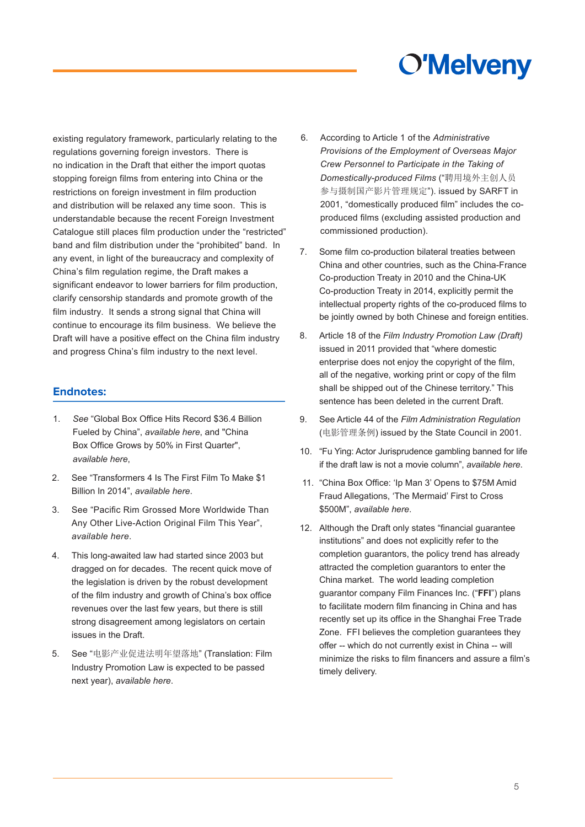# **O'Melveny**

existing regulatory framework, particularly relating to the regulations governing foreign investors. There is no indication in the Draft that either the import quotas stopping foreign films from entering into China or the restrictions on foreign investment in film production and distribution will be relaxed any time soon. This is understandable because the recent Foreign Investment Catalogue still places film production under the "restricted" band and film distribution under the "prohibited" band. In any event, in light of the bureaucracy and complexity of China's film regulation regime, the Draft makes a significant endeavor to lower barriers for film production, clarify censorship standards and promote growth of the film industry. It sends a strong signal that China will continue to encourage its film business. We believe the Draft will have a positive effect on the China film industry and progress China's film industry to the next level.

# **Endnotes:**

- 1. *See* "Global Box Office Hits Record \$36.4 Billion Fueled by China", *[available here](http://variety.com/2015/film/news/global-box-office-hits-record-36-4-billion-fuelled-by-china-1201450618/)*, and "China Box Office Grows by 50% in First Quarter", *available here*,
- 2. See "Transformers 4 Is The First Film To Make \$1 Billion In 2014", *available here*.
- 3. [See "Pacific Rim](http://www.slashfilm.com/pacific-rim-grossed-more-worldwide-than-any-other-live-action-original-film-this-year/) Grossed More Worldwide Than Any Other Live-Action Original Film This Year", *available here*.
- 4. This long-awaited law had started since 2003 but dragged on for decades. The recent quick move of the legislation is driven by the robust development of the film industry and growth of China's box office revenues over the last few years, but there is still strong disagreement among legislators on certain issues in the Draft.
- 5. See "电影[产业促进法明年望](http://finance.sina.com.cn/chanjing/cyxw/20151104/114223674440.shtml)落地" (Translation: Film Industry Promotion Law is expected to be passed next year), *available here*.
- 6. According to Article 1 of the *Administrative Provisions of the Employment of Overseas Major Crew Personnel to Participate in the Taking of Domestically-produced Films* ("聘用境外主创人员 参与摄制国产影片管理规定"). issued by SARFT in 2001, "domestically produced film" includes the coproduced films (excluding assisted production and commissioned production).
- 7. Some film co-production bilateral treaties between China and other countries, such as the China-France Co-production Treaty in 2010 and the China-UK Co-production Treaty in 2014, explicitly permit the intellectual property rights of the co-produced films to be jointly owned by both Chinese and foreign entities.
- 8. Article 18 of the *Film Industry Promotion Law (Draft)* issued in 2011 provided that "where [domestic](http://www.iduobo.com/2016/03/04/fu-ying-actor-jurisprudence-gambling-banned-for-life-if-the-draft-law-is-not-a-movie-column-73613.html) enterprise does not enjoy the copyright of the film, all of the negative, working print or copy of the film shall be shipped out of the Chinese territory." This sentenc[e has been deleted](http://www.hollywoodreporter.com/news/china-box-office-ip-man-873060) in the current Draft.
- 9. See Article 44 of the *Film Administration Regulation* (电影管理条例) issued by the State Council in 2001.
- 10. "Fu Ying: Actor Jurisprudence gambling banned for life if the draft law is not a movie column", *available here*.
- 11. "China Box Office: 'Ip Man 3' Opens to \$75M Amid Fraud Allegations, 'The Mermaid' First to Cross \$500M", *available here*.
- 12. Although the Draft only states "financial guarantee institutions" and does not explicitly refer to the completion guarantors, the policy trend has already attracted the completion guarantors to enter the China market. The world leading completion guarantor company Film Finances Inc. ("**FFI**") plans to facilitate modern film financing in China and has recently set up its office in the Shanghai Free Trade Zone. FFI believes the completion guarantees they offer -- which do not currently exist in China -- will minimize the risks to film financers and assure a film's timely delivery.